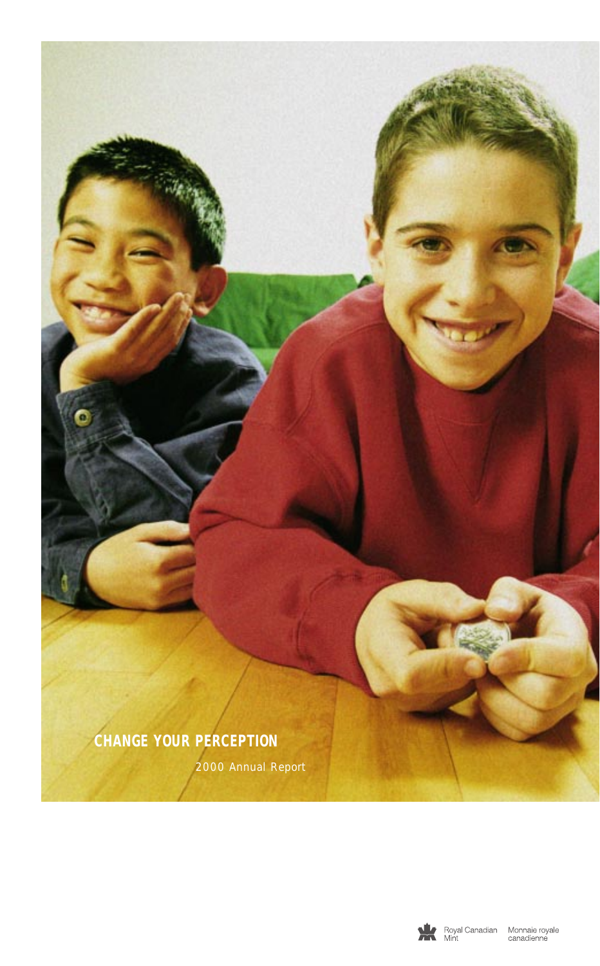

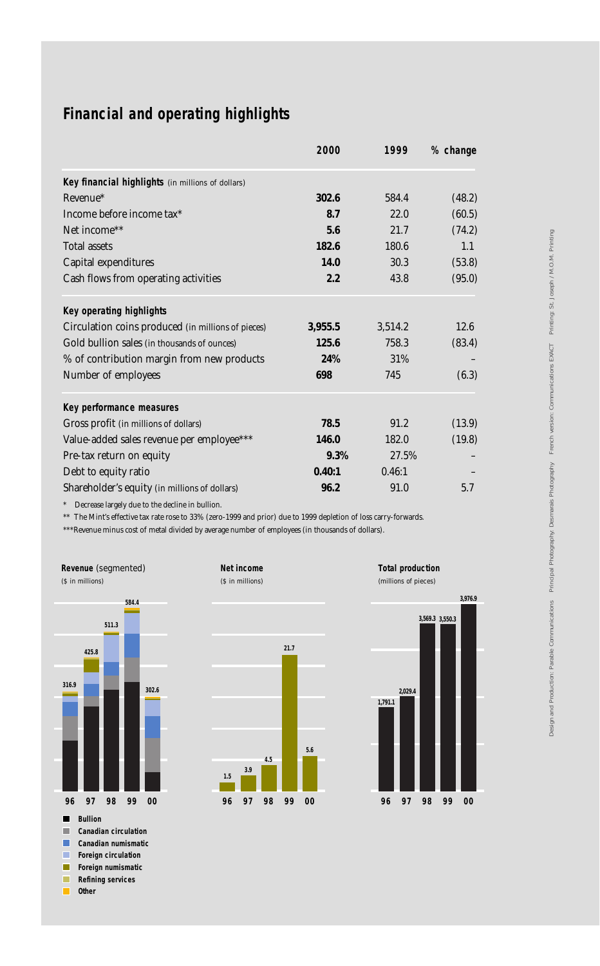# **Financial and operating highlights**

|                                                    | 2000    | 1999    | % change |
|----------------------------------------------------|---------|---------|----------|
| Key financial highlights (in millions of dollars)  |         |         |          |
| Revenue*                                           | 302.6   | 584.4   | (48.2)   |
| Income before income tax*                          | 8.7     | 22.0    | (60.5)   |
| Net income <sup>**</sup>                           | 5.6     | 21.7    | (74.2)   |
| <b>Total assets</b>                                | 182.6   | 180.6   | 1.1      |
| Capital expenditures                               | 14.0    | 30.3    | (53.8)   |
| Cash flows from operating activities               | 2.2     | 43.8    | (95.0)   |
| Key operating highlights                           |         |         |          |
| Circulation coins produced (in millions of pieces) | 3,955.5 | 3,514.2 | 12.6     |
| Gold bullion sales (in thousands of ounces)        | 125.6   | 758.3   | (83.4)   |
| % of contribution margin from new products         | 24%     | 31%     |          |
| Number of employees                                | 698     | 745     | (6.3)    |
| Key performance measures                           |         |         |          |
| Gross profit (in millions of dollars)              | 78.5    | 91.2    | (13.9)   |
| Value-added sales revenue per employee***          | 146.0   | 182.0   | (19.8)   |
| Pre-tax return on equity                           | $9.3\%$ | 27.5%   |          |
| Debt to equity ratio                               | 0.40:1  | 0.46:1  |          |
| Shareholder's equity (in millions of dollars)      | 96.2    | 91.0    | 5.7      |

\* Decrease largely due to the decline in bullion.

\*\* The Mint's effective tax rate rose to 33% (zero-1999 and prior) due to 1999 depletion of loss carry-forwards.

**Net income** (\$ in millions)

\*\*\*Revenue minus cost of metal divided by average number of employees (in thousands of dollars).



 $\blacksquare$ **Other**

**21.7 4.5 3.9 1.5 96 99 97 98 5.6 00**



**Total production**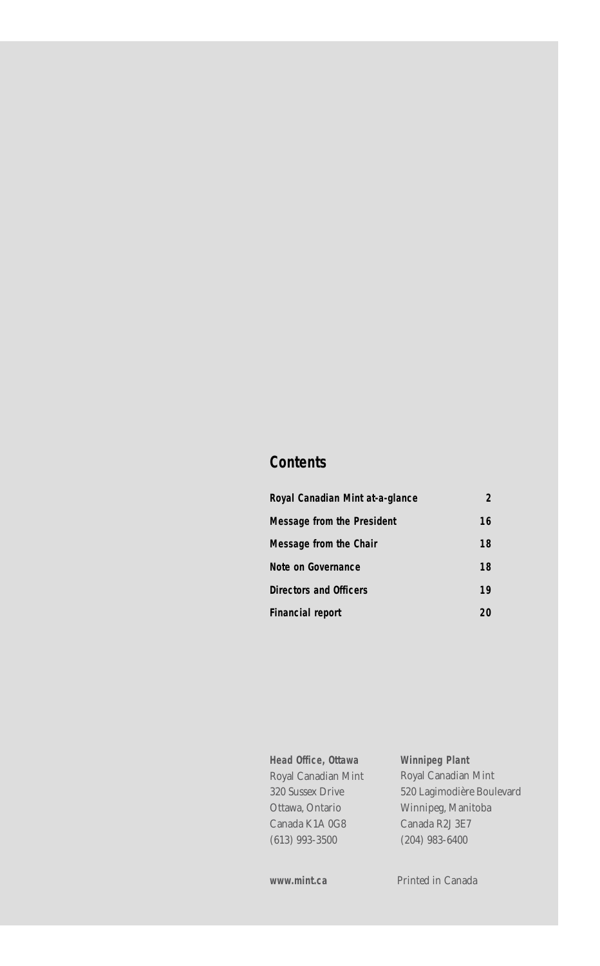## **Contents**

| Royal Canadian Mint at-a-glance | 2  |
|---------------------------------|----|
| Message from the President      | 16 |
| Message from the Chair          | 18 |
| Note on Governance              | 18 |
| Directors and Officers          | 19 |
| <b>Financial report</b>         | 20 |

**Head Office, Ottawa** Royal Canadian Mint 320 Sussex Drive Ottawa, Ontario Canada K1A 0G8 (613) 993-3500

**Winnipeg Plant** Royal Canadian Mint 520 Lagimodière Boulevard Winnipeg, Manitoba Canada R2J 3E7 (204) 983-6400

www.mint.ca Printed in Canada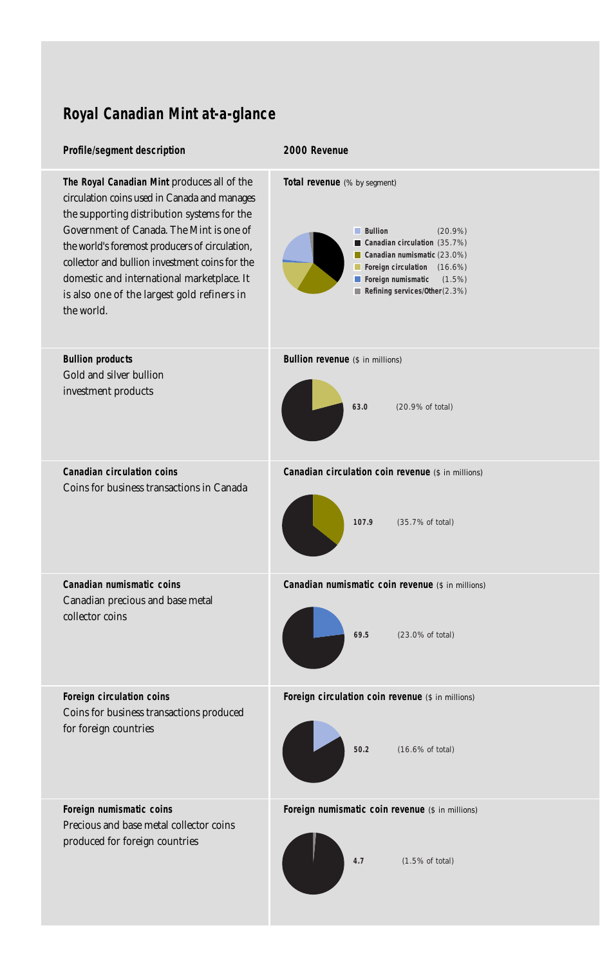# **Royal Canadian Mint at-a-glance**

## **Profile/segment description**

#### **2000 Revenue**

| The Royal Canadian Mint produces all of the                                    | Total revenue (% by segment)                                                    |
|--------------------------------------------------------------------------------|---------------------------------------------------------------------------------|
| circulation coins used in Canada and manages                                   | <b>Bullion</b>                                                                  |
| the supporting distribution systems for the                                    | $(20.9\%)$                                                                      |
| Government of Canada. The Mint is one of                                       | Canadian circulation (35.7%)                                                    |
| the world's foremost producers of circulation,                                 | Canadian numismatic $(23.0\%)$                                                  |
| collector and bullion investment coins for the                                 | Foreign circulation (16.6%)                                                     |
| domestic and international marketplace. It                                     | Foreign numismatic                                                              |
| is also one of the largest gold refiners in                                    | $(1.5\%)$                                                                       |
| the world.                                                                     | Refining services/0ther(2.3%)                                                   |
| <b>Bullion products</b>                                                        | <b>Bullion revenue</b> (\$ in millions)                                         |
| Gold and silver bullion                                                        | (20.9% of total)                                                                |
| investment products                                                            | 63.0                                                                            |
| <b>Canadian circulation coins</b><br>Coins for business transactions in Canada | Canadian circulation coin revenue (\$ in millions)<br>107.9<br>(35.7% of total) |
| Canadian numismatic coins                                                      | Canadian numismatic coin revenue (\$ in millions)                               |
| Canadian precious and base metal                                               | 69.5                                                                            |
| collector coins                                                                | (23.0% of total)                                                                |
| Foreign circulation coins                                                      | Foreign circulation coin revenue (\$ in millions)                               |
| Coins for business transactions produced                                       | 50.2                                                                            |
| for foreign countries                                                          | (16.6% of total)                                                                |
| Foreign numismatic coins                                                       | Foreign numismatic coin revenue (\$ in millions)                                |
| Precious and base metal collector coins                                        | 4.7                                                                             |
| produced for foreign countries                                                 | $(1.5\% \text{ of total})$                                                      |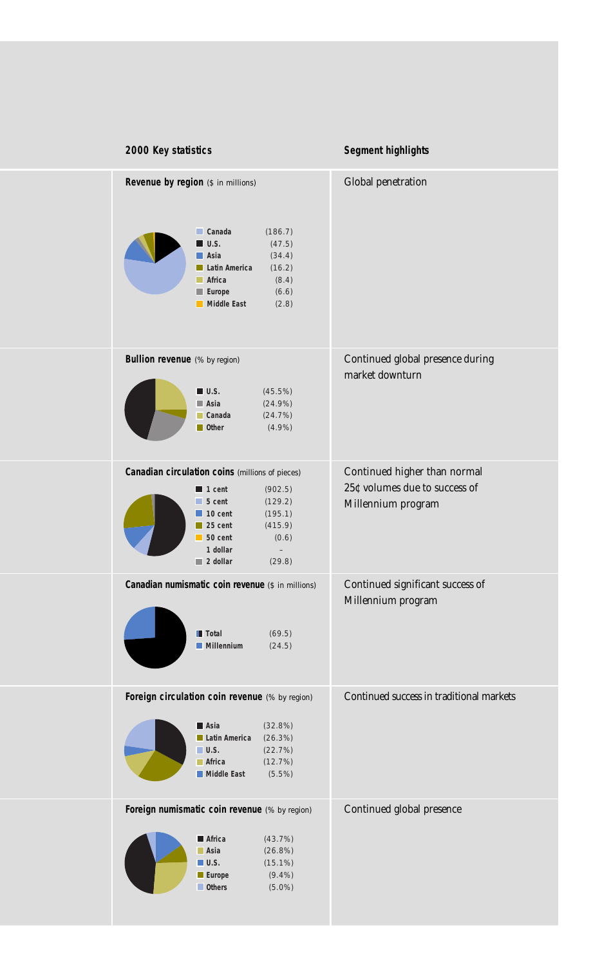| 2000 Key statistics                                                                                                                                                                                                                                                                                               | Segment highlights                                                                  |
|-------------------------------------------------------------------------------------------------------------------------------------------------------------------------------------------------------------------------------------------------------------------------------------------------------------------|-------------------------------------------------------------------------------------|
| Revenue by region (\$ in millions)<br>$\Box$ Canada<br>(186.7)<br>$\blacksquare$ U.S.<br>(47.5)<br>$\blacksquare$ Asia<br>(34.4)<br>Latin America<br>(16.2)<br><b>Africa</b><br>(8.4)<br>(6.6)<br>Europe<br>Middle East<br>(2.8)                                                                                  | Global penetration                                                                  |
| <b>Bullion revenue</b> (% by region)<br>(45.5%)<br>$\blacksquare$ U.S.<br>$\blacksquare$ Asia<br>$(24.9\%)$<br>$\Box$ Canada<br>(24.7%)<br>$\blacksquare$ Other<br>$(4.9\%)$                                                                                                                                      | Continued global presence during<br>market downturn                                 |
| Canadian circulation coins (millions of pieces)<br>(902.5)<br>$\blacksquare$ 1 cent<br>(129.2)<br>$\blacksquare$ 5 cent<br>(195.1)<br>$\blacksquare$ 10 cent<br>$\blacksquare$ 25 cent<br>(415.9)<br>$\blacksquare$ 50 cent<br>(0.6)<br>1 dollar<br>$\overline{\phantom{a}}$<br>$\blacksquare$ 2 dollar<br>(29.8) | Continued higher than normal<br>25¢ volumes due to success of<br>Millennium program |
| Canadian numismatic coin revenue (\$ in millions)<br><b>T</b> Total<br>(69.5)<br><b>Millennium</b><br>(24.5)                                                                                                                                                                                                      | Continued significant success of<br>Millennium program                              |
| Foreign circulation coin revenue (% by region)<br>$\blacksquare$ Asia<br>(32.8%)<br>(26.3%)<br>Latin America<br>(22.7%)<br>$\blacksquare$ U.S.<br>(12.7%)<br><b>Africa</b><br><b>Middle East</b><br>$(5.5\%)$                                                                                                     | Continued success in traditional markets                                            |
| Foreign numismatic coin revenue (% by region)<br>(43.7%)<br>Africa<br>$\blacksquare$ Asia<br>(26.8%)<br>$\blacksquare$ U.S.<br>$(15.1\%)$<br><b>Europe</b><br>$(9.4\%)$<br><b>Others</b><br>$(5.0\%)$                                                                                                             | Continued global presence                                                           |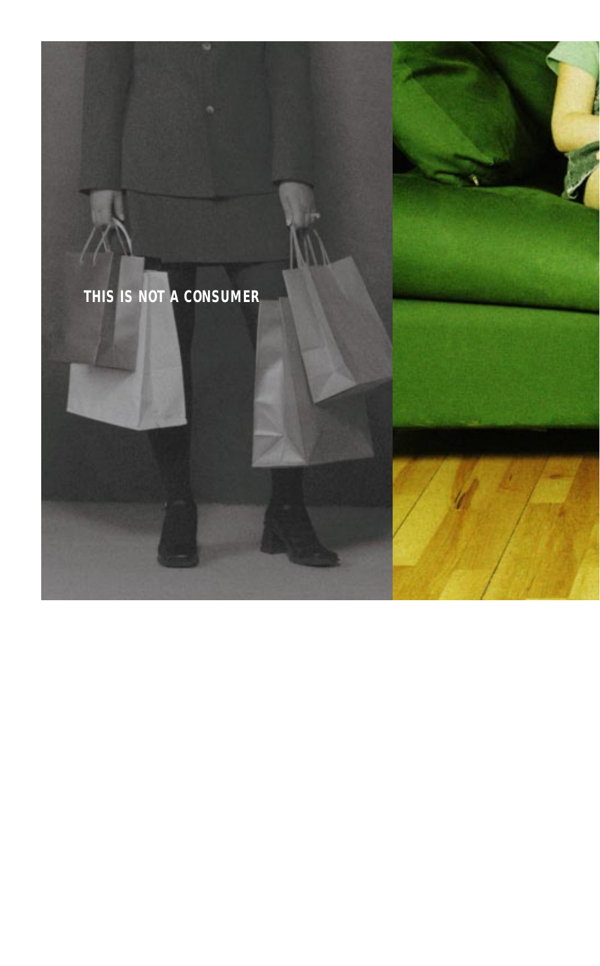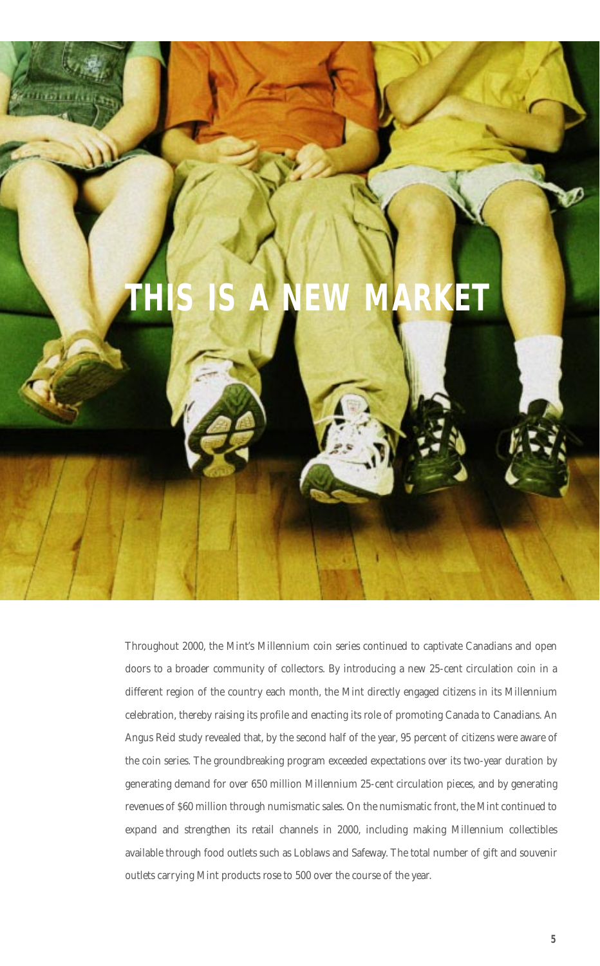

Throughout 2000, the Mint's Millennium coin series continued to captivate Canadians and open doors to a broader community of collectors. By introducing a new 25-cent circulation coin in a different region of the country each month, the Mint directly engaged citizens in its Millennium celebration, thereby raising its profile and enacting its role of promoting Canada to Canadians. An Angus Reid study revealed that, by the second half of the year, 95 percent of citizens were aware of the coin series. The groundbreaking program exceeded expectations over its two-year duration by generating demand for over 650 million Millennium 25-cent circulation pieces, and by generating revenues of \$60 million through numismatic sales. On the numismatic front, the Mint continued to expand and strengthen its retail channels in 2000, including making Millennium collectibles available through food outlets such as Loblaws and Safeway. The total number of gift and souvenir outlets carrying Mint products rose to 500 over the course of the year.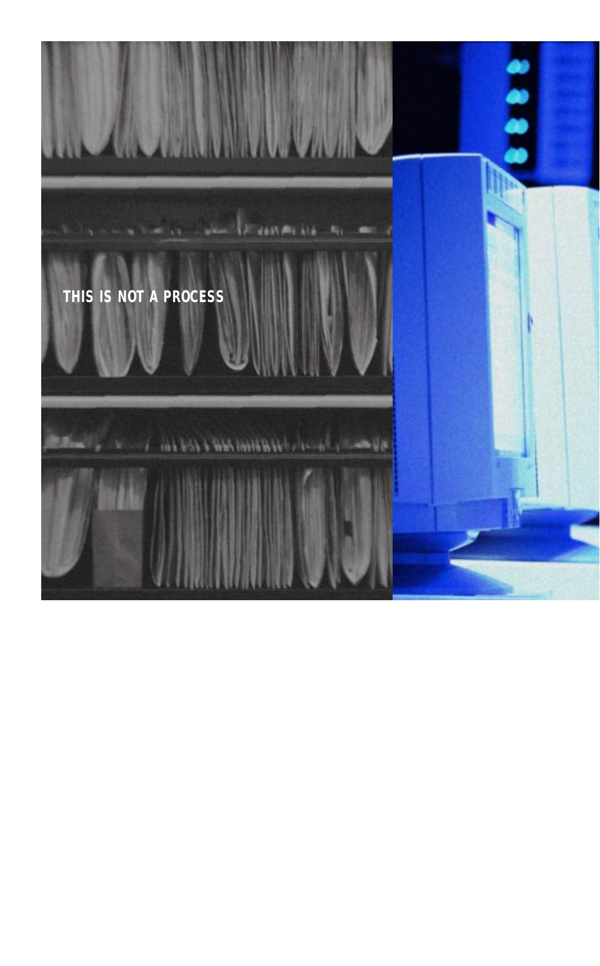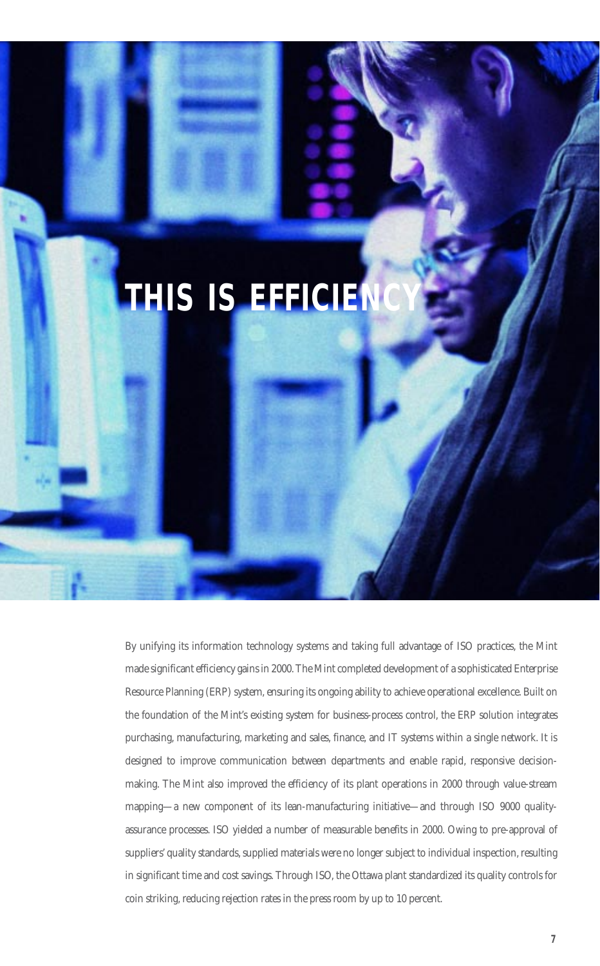

By unifying its information technology systems and taking full advantage of ISO practices, the Mint made significant efficiency gains in 2000. The Mint completed development of a sophisticated Enterprise Resource Planning (ERP) system, ensuring its ongoing ability to achieve operational excellence. Built on the foundation of the Mint's existing system for business-process control, the ERP solution integrates purchasing, manufacturing, marketing and sales, finance, and IT systems within a single network. It is designed to improve communication between departments and enable rapid, responsive decisionmaking. The Mint also improved the efficiency of its plant operations in 2000 through value-stream mapping—a new component of its lean-manufacturing initiative—and through ISO 9000 qualityassurance processes. ISO yielded a number of measurable benefits in 2000. Owing to pre-approval of suppliers' quality standards, supplied materials were no longer subject to individual inspection, resulting in significant time and cost savings. Through ISO, the Ottawa plant standardized its quality controls for coin striking, reducing rejection rates in the press room by up to 10 percent.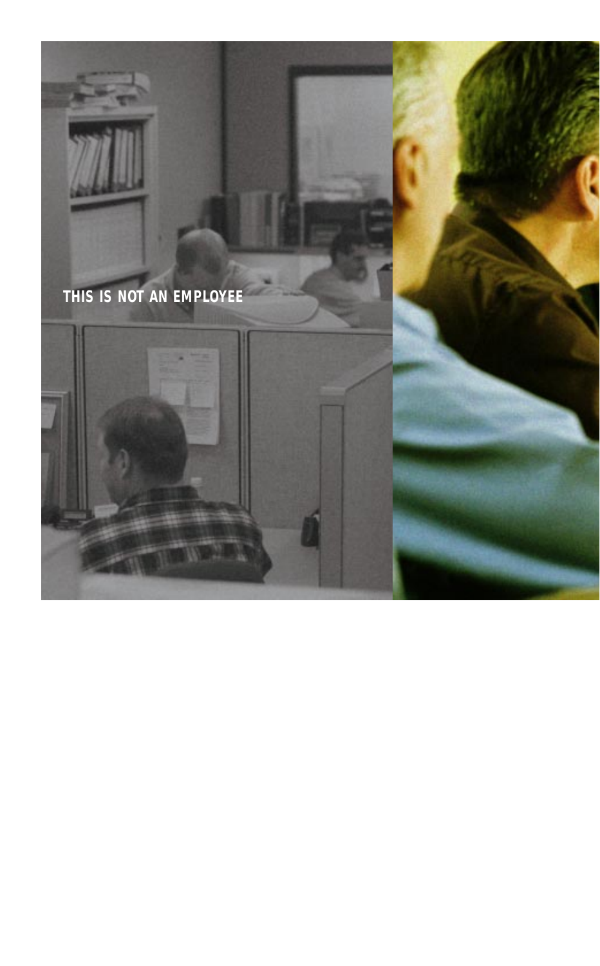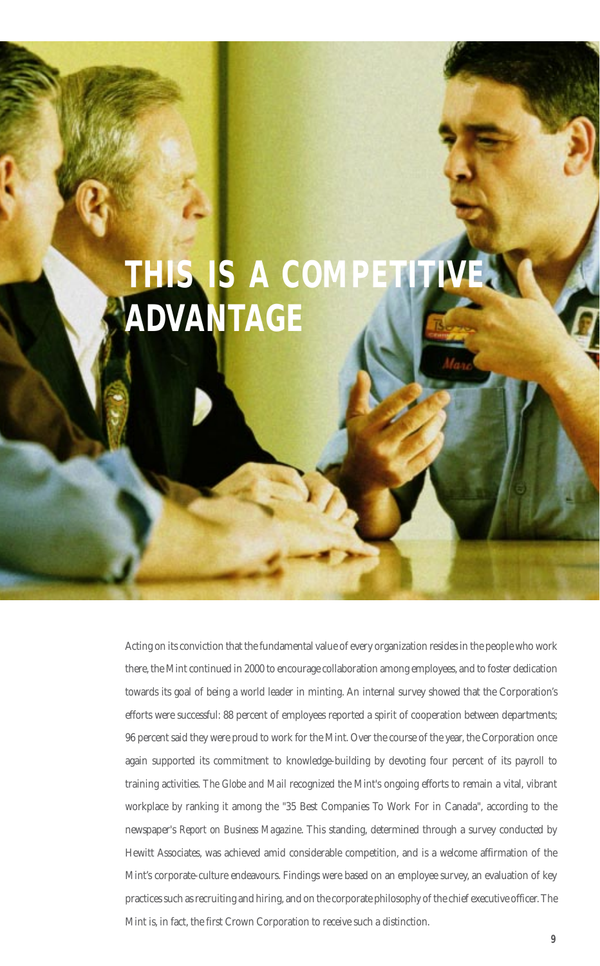# **THIS IS A COMP ADVANTAGE**

Acting on its conviction that the fundamental value of every organization resides in the people who work there, the Mint continued in 2000 to encourage collaboration among employees, and to foster dedication towards its goal of being a world leader in minting. An internal survey showed that the Corporation's efforts were successful: 88 percent of employees reported a spirit of cooperation between departments; 96 percent said they were proud to work for the Mint. Over the course of the year, the Corporation once again supported its commitment to knowledge-building by devoting four percent of its payroll to training activities. *The Globe and Mail* recognized the Mint's ongoing efforts to remain a vital, vibrant workplace by ranking it among the "35 Best Companies To Work For in Canada", according to the newspaper's *Report on Business Magazine*. This standing, determined through a survey conducted by Hewitt Associates, was achieved amid considerable competition, and is a welcome affirmation of the Mint's corporate-culture endeavours. Findings were based on an employee survey, an evaluation of key practices such as recruiting and hiring, and on the corporate philosophy of the chief executive officer. The Mint is, in fact, the first Crown Corporation to receive such a distinction.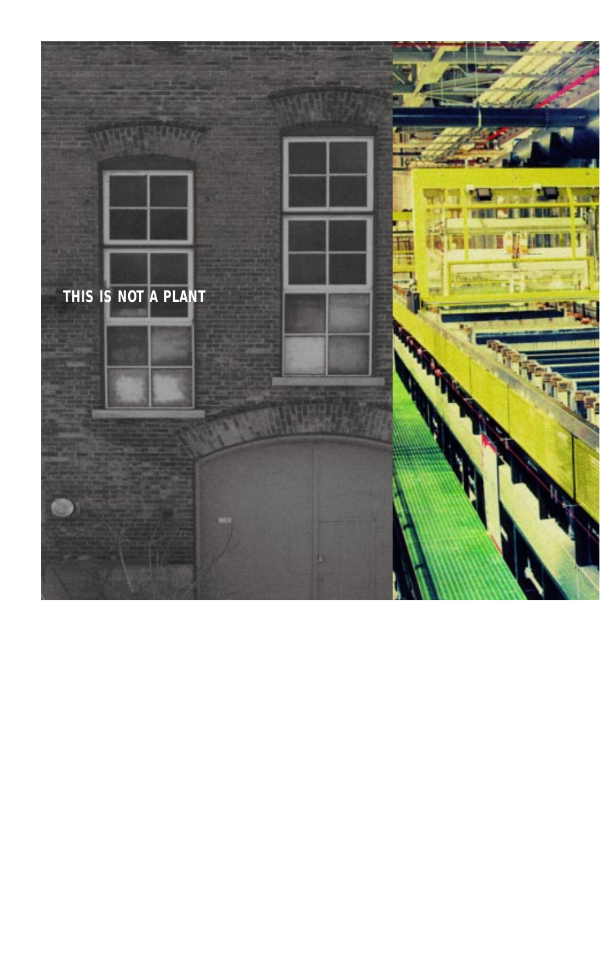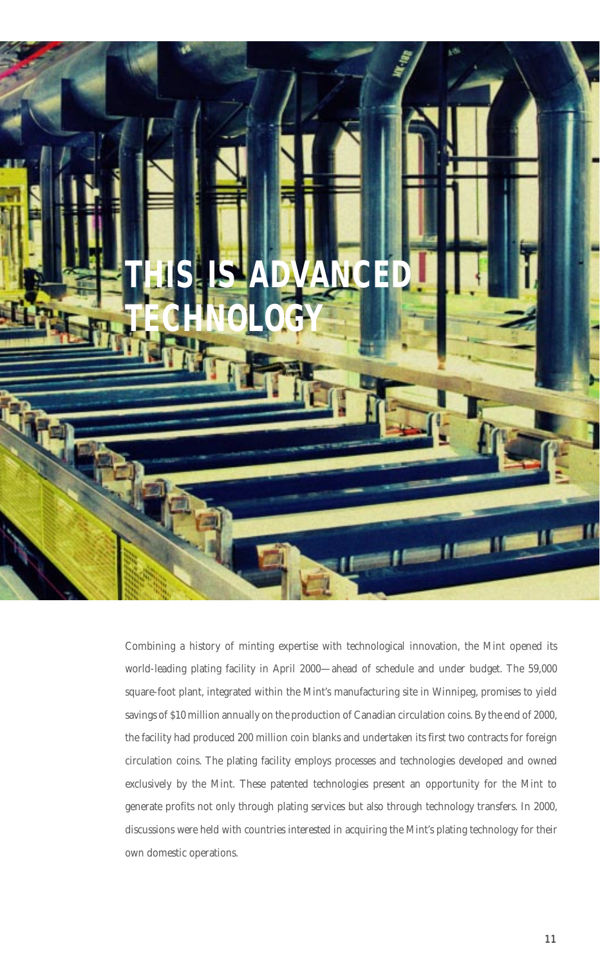

Combining a history of minting expertise with technological innovation, the Mint opened its world-leading plating facility in April 2000—ahead of schedule and under budget. The 59,000 square-foot plant, integrated within the Mint's manufacturing site in Winnipeg, promises to yield savings of \$10 million annually on the production of Canadian circulation coins. By the end of 2000, the facility had produced 200 million coin blanks and undertaken its first two contracts for foreign circulation coins. The plating facility employs processes and technologies developed and owned exclusively by the Mint. These patented technologies present an opportunity for the Mint to generate profits not only through plating services but also through technology transfers. In 2000, discussions were held with countries interested in acquiring the Mint's plating technology for their own domestic operations.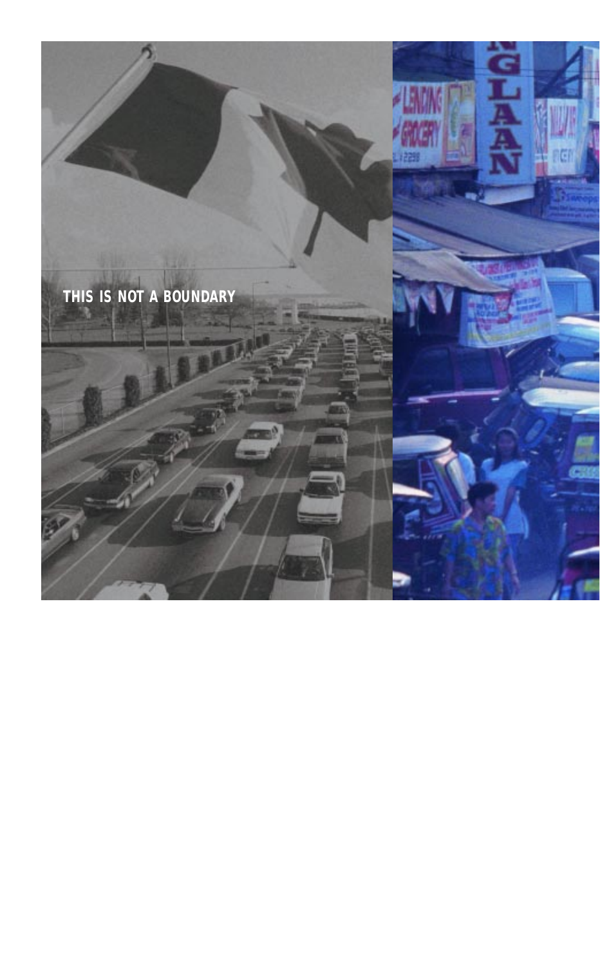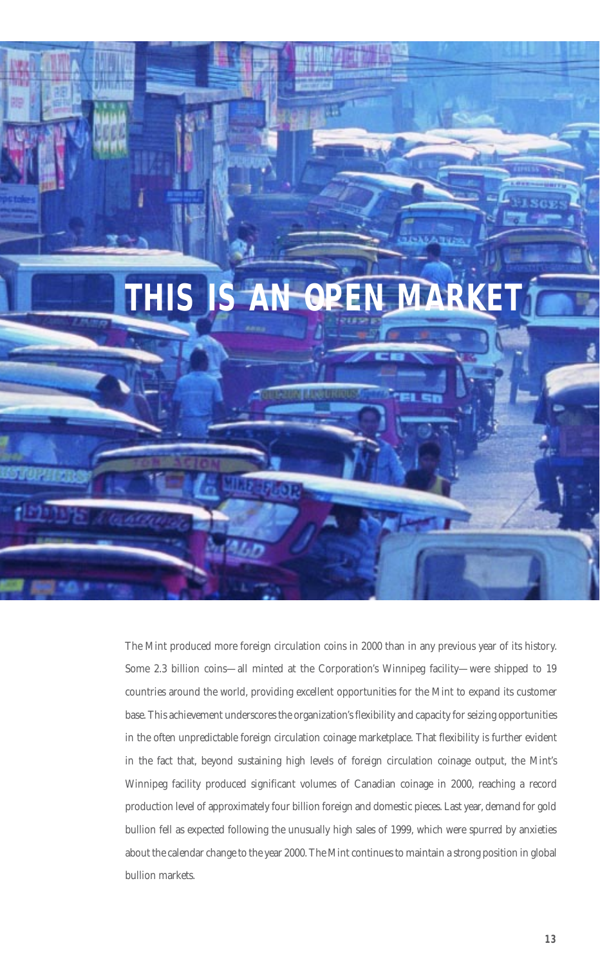

The Mint produced more foreign circulation coins in 2000 than in any previous year of its history. Some 2.3 billion coins—all minted at the Corporation's Winnipeg facility—were shipped to 19 countries around the world, providing excellent opportunities for the Mint to expand its customer base. This achievement underscores the organization's flexibility and capacity for seizing opportunities in the often unpredictable foreign circulation coinage marketplace. That flexibility is further evident in the fact that, beyond sustaining high levels of foreign circulation coinage output, the Mint's Winnipeg facility produced significant volumes of Canadian coinage in 2000, reaching a record production level of approximately four billion foreign and domestic pieces. Last year, demand for gold bullion fell as expected following the unusually high sales of 1999, which were spurred by anxieties about the calendar change to the year 2000. The Mint continues to maintain a strong position in global bullion markets.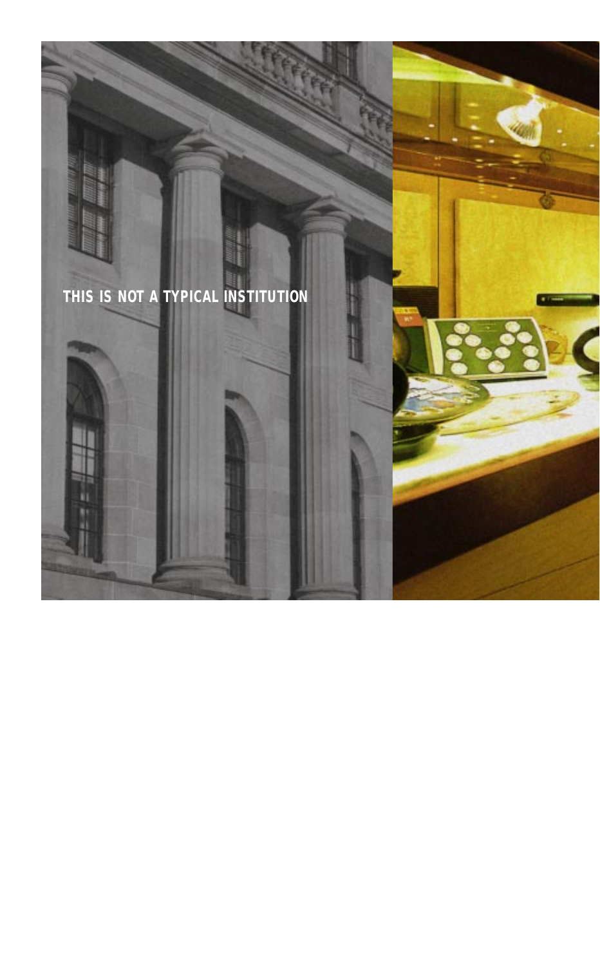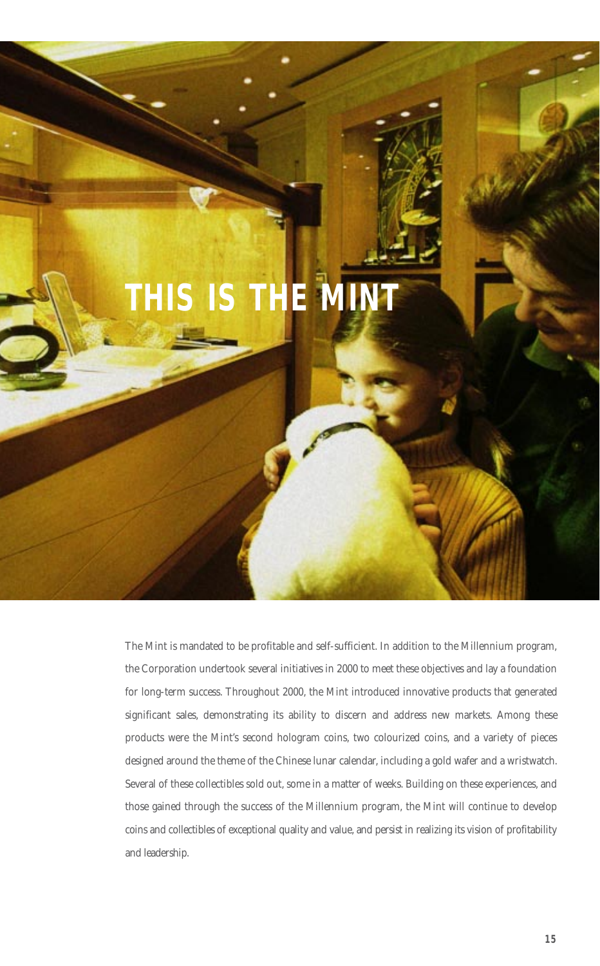# **THIS IS THE MIN**

The Mint is mandated to be profitable and self-sufficient. In addition to the Millennium program, the Corporation undertook several initiatives in 2000 to meet these objectives and lay a foundation for long-term success. Throughout 2000, the Mint introduced innovative products that generated significant sales, demonstrating its ability to discern and address new markets. Among these products were the Mint's second hologram coins, two colourized coins, and a variety of pieces designed around the theme of the Chinese lunar calendar, including a gold wafer and a wristwatch. Several of these collectibles sold out, some in a matter of weeks. Building on these experiences, and those gained through the success of the Millennium program, the Mint will continue to develop coins and collectibles of exceptional quality and value, and persist in realizing its vision of profitability and leadership.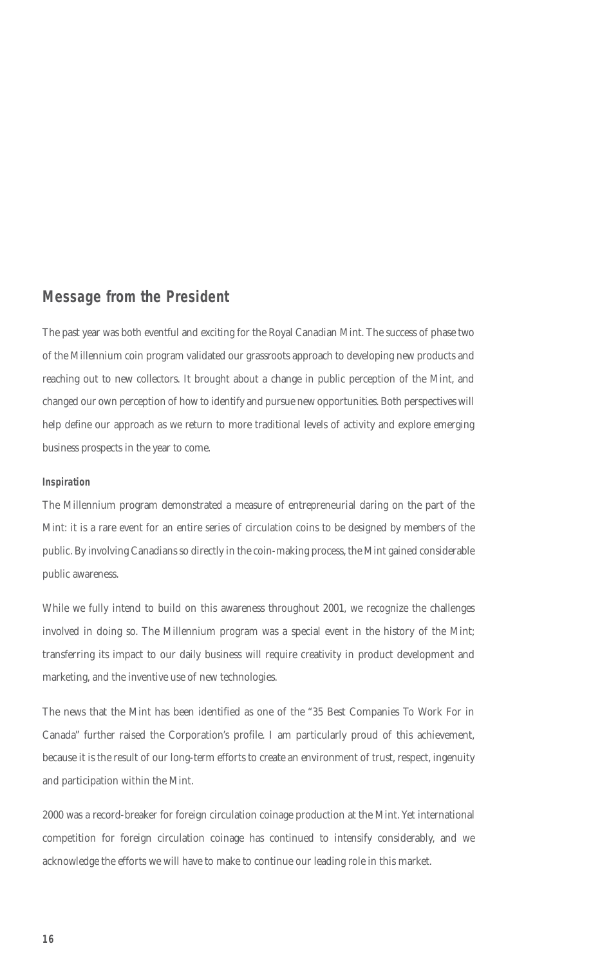## **Message from the President**

The past year was both eventful and exciting for the Royal Canadian Mint. The success of phase two of the Millennium coin program validated our grassroots approach to developing new products and reaching out to new collectors. It brought about a change in public perception of the Mint, and changed our own perception of how to identify and pursue new opportunities. Both perspectives will help define our approach as we return to more traditional levels of activity and explore emerging business prospects in the year to come.

#### **Inspiration**

The Millennium program demonstrated a measure of entrepreneurial daring on the part of the Mint: it is a rare event for an entire series of circulation coins to be designed by members of the public. By involving Canadians so directly in the coin-making process, the Mint gained considerable public awareness.

While we fully intend to build on this awareness throughout 2001, we recognize the challenges involved in doing so. The Millennium program was a special event in the history of the Mint; transferring its impact to our daily business will require creativity in product development and marketing, and the inventive use of new technologies.

The news that the Mint has been identified as one of the "35 Best Companies To Work For in Canada" further raised the Corporation's profile. I am particularly proud of this achievement, because it is the result of our long-term efforts to create an environment of trust, respect, ingenuity and participation within the Mint.

2000 was a record-breaker for foreign circulation coinage production at the Mint. Yet international competition for foreign circulation coinage has continued to intensify considerably, and we acknowledge the efforts we will have to make to continue our leading role in this market.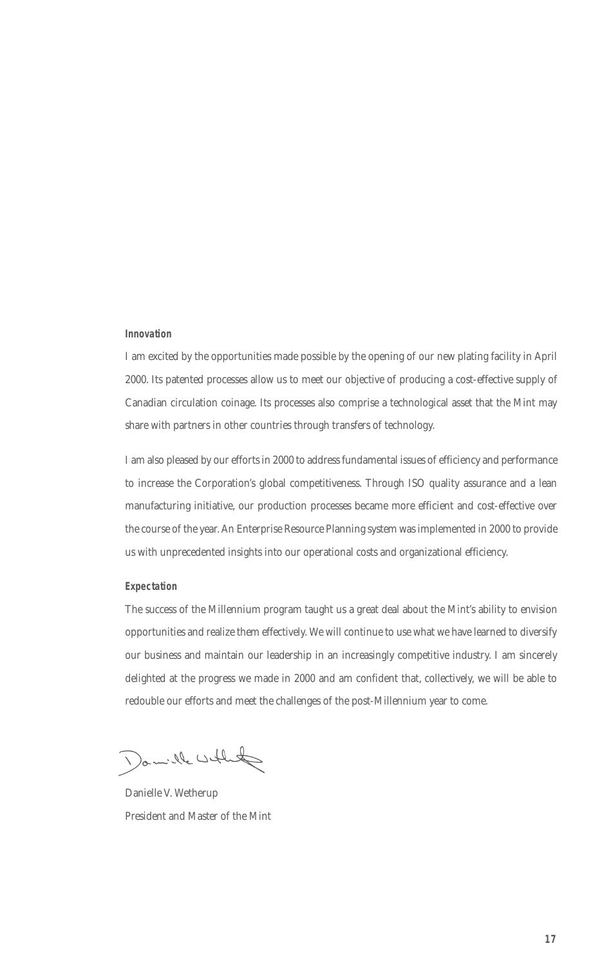#### **Innovation**

I am excited by the opportunities made possible by the opening of our new plating facility in April 2000. Its patented processes allow us to meet our objective of producing a cost-effective supply of Canadian circulation coinage. Its processes also comprise a technological asset that the Mint may share with partners in other countries through transfers of technology.

I am also pleased by our efforts in 2000 to address fundamental issues of efficiency and performance to increase the Corporation's global competitiveness. Through ISO quality assurance and a lean manufacturing initiative, our production processes became more efficient and cost-effective over the course of the year. An Enterprise Resource Planning system was implemented in 2000 to provide us with unprecedented insights into our operational costs and organizational efficiency.

#### **Expectation**

The success of the Millennium program taught us a great deal about the Mint's ability to envision opportunities and realize them effectively. We will continue to use what we have learned to diversify our business and maintain our leadership in an increasingly competitive industry. I am sincerely delighted at the progress we made in 2000 and am confident that, collectively, we will be able to redouble our efforts and meet the challenges of the post-Millennium year to come.

Damille which

Danielle V. Wetherup President and Master of the Mint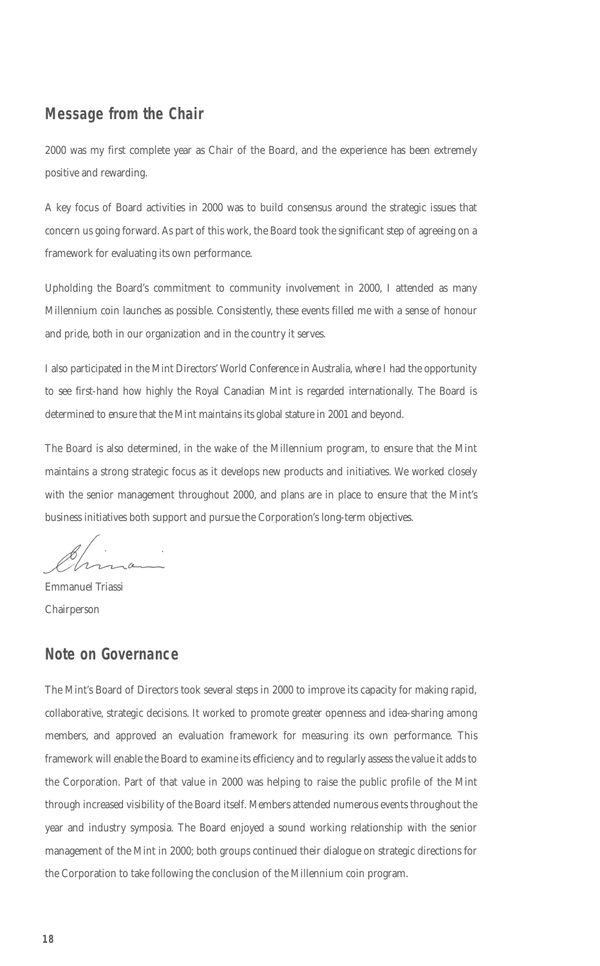## **Message from the Chair**

2000 was my first complete year as Chair of the Board, and the experience has been extremely positive and rewarding.

A key focus of Board activities in 2000 was to build consensus around the strategic issues that concern us going forward. As part of this work, the Board took the significant step of agreeing on a framework for evaluating its own performance.

Upholding the Board's commitment to community involvement in 2000, I attended as many Millennium coin launches as possible. Consistently, these events filled me with a sense of honour and pride, both in our organization and in the country it serves.

I also participated in the Mint Directors' World Conference in Australia, where I had the opportunity to see first-hand how highly the Royal Canadian Mint is regarded internationally. The Board is determined to ensure that the Mint maintains its global stature in 2001 and beyond.

The Board is also determined, in the wake of the Millennium program, to ensure that the Mint maintains a strong strategic focus as it develops new products and initiatives. We worked closely with the senior management throughout 2000, and plans are in place to ensure that the Mint's business initiatives both support and pursue the Corporation's long-term objectives.

Ir  $\alpha$ 

Emmanuel Triassi Chairperson

## **Note on Governance**

The Mint's Board of Directors took several steps in 2000 to improve its capacity for making rapid, collaborative, strategic decisions. It worked to promote greater openness and idea-sharing among members, and approved an evaluation framework for measuring its own performance. This framework will enable the Board to examine its efficiency and to regularly assess the value it adds to the Corporation. Part of that value in 2000 was helping to raise the public profile of the Mint through increased visibility of the Board itself. Members attended numerous events throughout the year and industry symposia. The Board enjoyed a sound working relationship with the senior management of the Mint in 2000; both groups continued their dialogue on strategic directions for the Corporation to take following the conclusion of the Millennium coin program.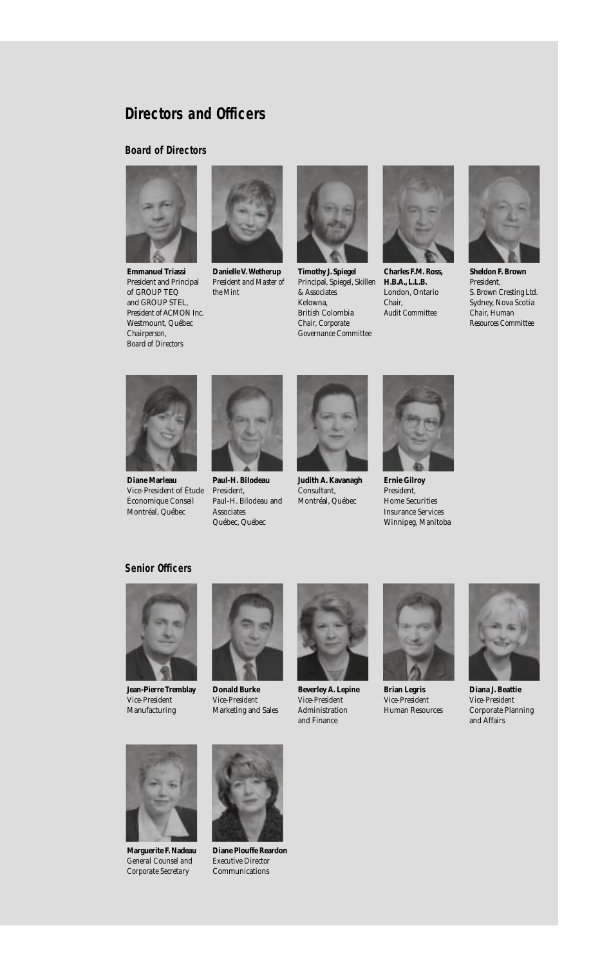## **Directors and Officers**

#### **Board of Directors**



**Emmanuel Triassi**  President and Principal of GROUP TEQ and GROUP STEL, President of ACMON Inc. Westmount, Québec *Chairperson, Board of Directors*



**Danielle V. Wetherup** *President and Master of the Mint* 



**Timothy J. Spiegel**  Principal, Spiegel, Skillen & Associates Kelowna, British Colombia *Chair, Corporate Governance Committee*



**Charles F.M. Ross, H.B.A., L.L.B.** London, Ontario *Chair, Audit Committee*



**Sheldon F. Brown**  President, S. Brown Cresting Ltd. Sydney, Nova Scotia *Chair, Human Resources Committee* 



**Diane Marleau**  Vice-President of Étude Économique Conseil Montréal, Québec



**Paul-H. Bilodeau**  President, Paul-H. Bilodeau and Associates Québec, Québec



**Judith A. Kavanagh**  Consultant, Montréal, Québec



**Ernie Gilroy**  President, Home Securities Insurance Services Winnipeg, Manitoba

#### **Senior Officers**



**Jean-Pierre Tremblay** *Vice-President* Manufacturing



**Donald Burke** *Vice-President* Marketing and Sales



**Beverley A. Lepine** *Vice-President* Administration and Finance



**Brian Legris** *Vice-President* Human Resources



**Diana J. Beattie** *Vice-President* Corporate Planning and Affairs



**Marguerite F. Nadeau** *General Counsel and Corporate Secretary*



**Diane Plouffe Reardon** *Executive Director* Communications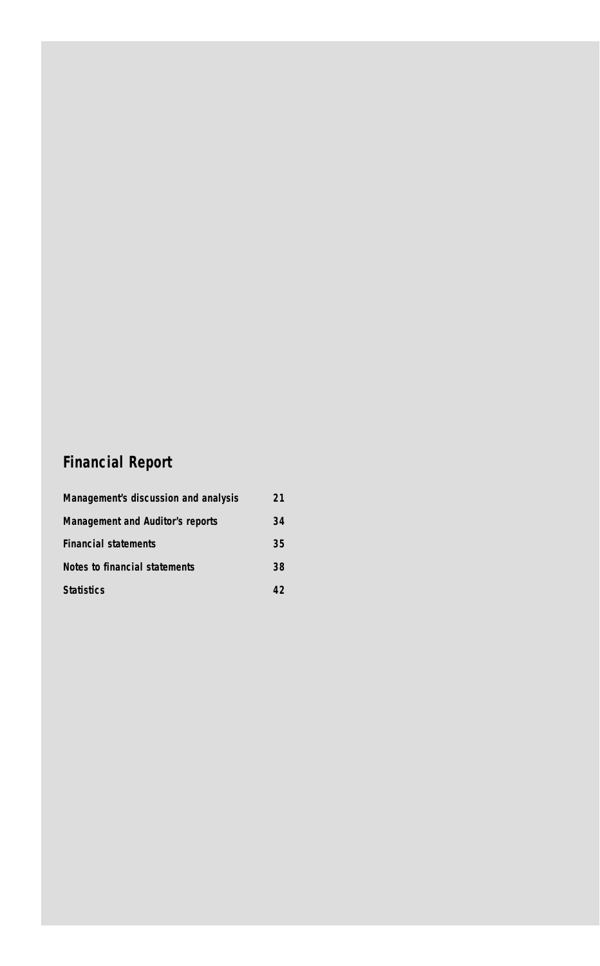# **Financial Report**

| Management's discussion and analysis    | 21 |
|-----------------------------------------|----|
| <b>Management and Auditor's reports</b> | 34 |
| <b>Financial statements</b>             | 35 |
| Notes to financial statements           | 38 |
| <b>Statistics</b>                       | 42 |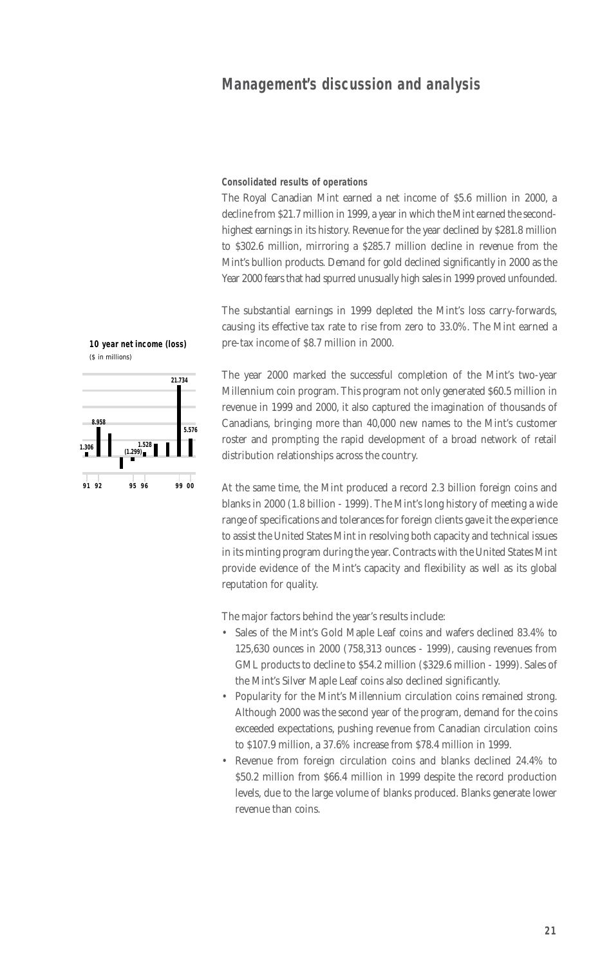**Consolidated results of operations**

The Royal Canadian Mint earned a net income of \$5.6 million in 2000, a decline from \$21.7 million in 1999, a year in which the Mint earned the secondhighest earnings in its history. Revenue for the year declined by \$281.8 million to \$302.6 million, mirroring a \$285.7 million decline in revenue from the Mint's bullion products. Demand for gold declined significantly in 2000 as the Year 2000 fears that had spurred unusually high sales in 1999 proved unfounded.

The substantial earnings in 1999 depleted the Mint's loss carry-forwards, causing its effective tax rate to rise from zero to 33.0%. The Mint earned a pre-tax income of \$8.7 million in 2000.

The year 2000 marked the successful completion of the Mint's two-year Millennium coin program. This program not only generated \$60.5 million in revenue in 1999 and 2000, it also captured the imagination of thousands of Canadians, bringing more than 40,000 new names to the Mint's customer roster and prompting the rapid development of a broad network of retail distribution relationships across the country.

At the same time, the Mint produced a record 2.3 billion foreign coins and blanks in 2000 (1.8 billion - 1999). The Mint's long history of meeting a wide range of specifications and tolerances for foreign clients gave it the experience to assist the United States Mint in resolving both capacity and technical issues in its minting program during the year. Contracts with the United States Mint provide evidence of the Mint's capacity and flexibility as well as its global reputation for quality.

The major factors behind the year's results include:

- Sales of the Mint's Gold Maple Leaf coins and wafers declined 83.4% to 125,630 ounces in 2000 (758,313 ounces - 1999), causing revenues from GML products to decline to \$54.2 million (\$329.6 million - 1999). Sales of the Mint's Silver Maple Leaf coins also declined significantly.
- Popularity for the Mint's Millennium circulation coins remained strong. Although 2000 was the second year of the program, demand for the coins exceeded expectations, pushing revenue from Canadian circulation coins to \$107.9 million, a 37.6% increase from \$78.4 million in 1999.
- Revenue from foreign circulation coins and blanks declined 24.4% to \$50.2 million from \$66.4 million in 1999 despite the record production levels, due to the large volume of blanks produced. Blanks generate lower revenue than coins.



**91 00**

**(1.299) 1.528**

**1.306**

**8.958**

**92 95 96 99**

**5.576**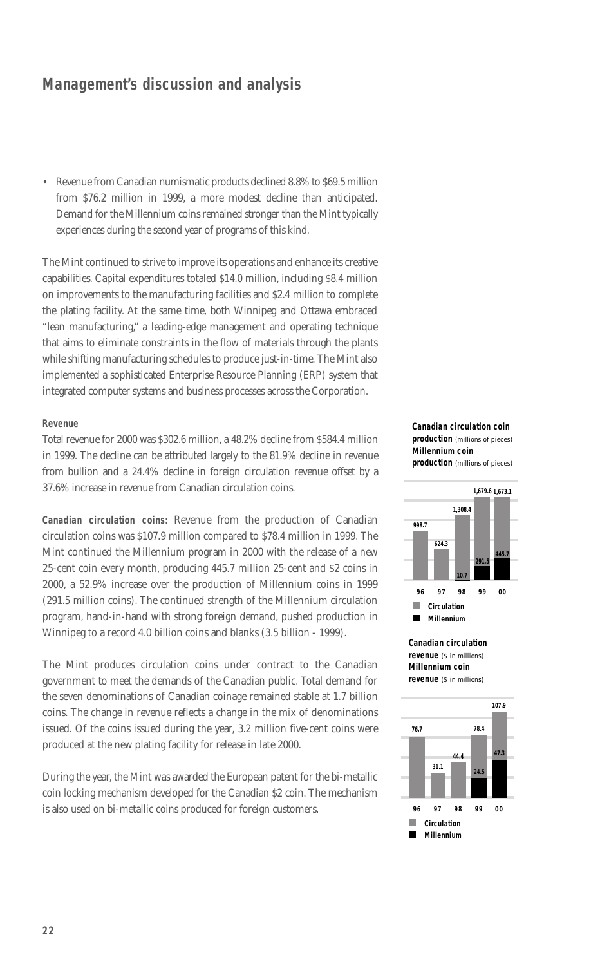• Revenue from Canadian numismatic products declined 8.8% to \$69.5 million from \$76.2 million in 1999, a more modest decline than anticipated. Demand for the Millennium coins remained stronger than the Mint typically experiences during the second year of programs of this kind.

The Mint continued to strive to improve its operations and enhance its creative capabilities. Capital expenditures totaled \$14.0 million, including \$8.4 million on improvements to the manufacturing facilities and \$2.4 million to complete the plating facility. At the same time, both Winnipeg and Ottawa embraced "lean manufacturing," a leading-edge management and operating technique that aims to eliminate constraints in the flow of materials through the plants while shifting manufacturing schedules to produce just-in-time. The Mint also implemented a sophisticated Enterprise Resource Planning (ERP) system that integrated computer systems and business processes across the Corporation.

#### **Revenue**

Total revenue for 2000 was \$302.6 million, a 48.2% decline from \$584.4 million in 1999. The decline can be attributed largely to the 81.9% decline in revenue from bullion and a 24.4% decline in foreign circulation revenue offset by a 37.6% increase in revenue from Canadian circulation coins.

**Canadian circulation coins:** Revenue from the production of Canadian circulation coins was \$107.9 million compared to \$78.4 million in 1999. The Mint continued the Millennium program in 2000 with the release of a new 25-cent coin every month, producing 445.7 million 25-cent and \$2 coins in 2000, a 52.9% increase over the production of Millennium coins in 1999 (291.5 million coins). The continued strength of the Millennium circulation program, hand-in-hand with strong foreign demand, pushed production in Winnipeg to a record 4.0 billion coins and blanks (3.5 billion - 1999).

The Mint produces circulation coins under contract to the Canadian government to meet the demands of the Canadian public. Total demand for the seven denominations of Canadian coinage remained stable at 1.7 billion coins. The change in revenue reflects a change in the mix of denominations issued. Of the coins issued during the year, 3.2 million five-cent coins were produced at the new plating facility for release in late 2000.

During the year, the Mint was awarded the European patent for the bi-metallic coin locking mechanism developed for the Canadian \$2 coin. The mechanism is also used on bi-metallic coins produced for foreign customers.

#### **Canadian circulation coin production** (millions of pieces) **Millennium coin production** (millions of pieces)



**Canadian circulation revenue** (\$ in millions) **Millennium coin revenue** (\$ in millions)

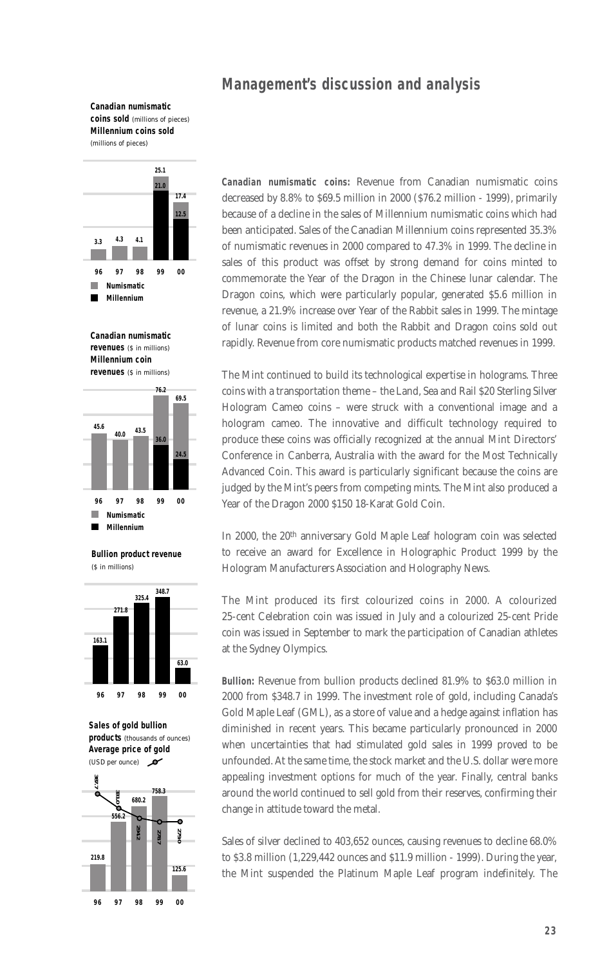**Canadian numismatic coins sold** (millions of pieces) **Millennium coins sold** (millions of pieces)



**Canadian numismatic revenues** (\$ in millions) **Millennium coin revenues** (\$ in millions)



**Bullion product revenue**  (\$ in millions)



**Sales of gold bullion products** (thousands of ounces) **Average price of gold** (USD per ounce)  $\sim$ 



**Canadian numismatic coins:** Revenue from Canadian numismatic coins decreased by 8.8% to \$69.5 million in 2000 (\$76.2 million - 1999), primarily because of a decline in the sales of Millennium numismatic coins which had been anticipated. Sales of the Canadian Millennium coins represented 35.3% of numismatic revenues in 2000 compared to 47.3% in 1999. The decline in sales of this product was offset by strong demand for coins minted to commemorate the Year of the Dragon in the Chinese lunar calendar. The Dragon coins, which were particularly popular, generated \$5.6 million in revenue, a 21.9% increase over Year of the Rabbit sales in 1999. The mintage of lunar coins is limited and both the Rabbit and Dragon coins sold out rapidly. Revenue from core numismatic products matched revenues in 1999.

The Mint continued to build its technological expertise in holograms. Three coins with a transportation theme – the Land, Sea and Rail \$20 Sterling Silver Hologram Cameo coins – were struck with a conventional image and a hologram cameo. The innovative and difficult technology required to produce these coins was officially recognized at the annual Mint Directors' Conference in Canberra, Australia with the award for the Most Technically Advanced Coin. This award is particularly significant because the coins are judged by the Mint's peers from competing mints. The Mint also produced a Year of the Dragon 2000 \$150 18-Karat Gold Coin.

In 2000, the 20<sup>th</sup> anniversary Gold Maple Leaf hologram coin was selected to receive an award for Excellence in Holographic Product 1999 by the Hologram Manufacturers Association and Holography News.

The Mint produced its first colourized coins in 2000. A colourized 25-cent Celebration coin was issued in July and a colourized 25-cent Pride coin was issued in September to mark the participation of Canadian athletes at the Sydney Olympics.

**Bullion:** Revenue from bullion products declined 81.9% to \$63.0 million in 2000 from \$348.7 in 1999. The investment role of gold, including Canada's Gold Maple Leaf (GML), as a store of value and a hedge against inflation has diminished in recent years. This became particularly pronounced in 2000 when uncertainties that had stimulated gold sales in 1999 proved to be unfounded. At the same time, the stock market and the U.S. dollar were more appealing investment options for much of the year. Finally, central banks around the world continued to sell gold from their reserves, confirming their change in attitude toward the metal.

Sales of silver declined to 403,652 ounces, causing revenues to decline 68.0% to \$3.8 million (1,229,442 ounces and \$11.9 million - 1999). During the year, the Mint suspended the Platinum Maple Leaf program indefinitely. The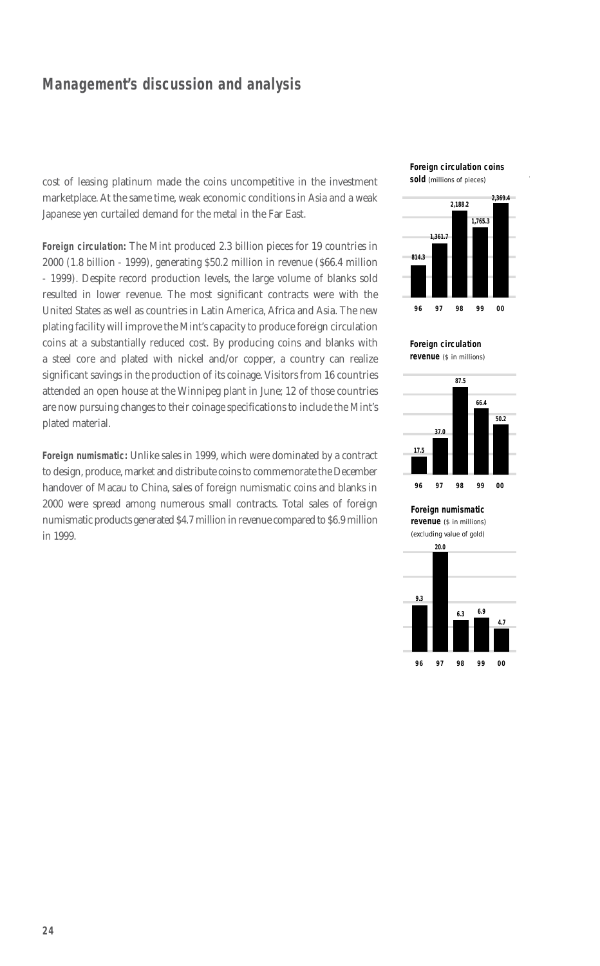cost of leasing platinum made the coins uncompetitive in the investment marketplace. At the same time, weak economic conditions in Asia and a weak Japanese yen curtailed demand for the metal in the Far East.

**Foreign circulation:** The Mint produced 2.3 billion pieces for 19 countries in 2000 (1.8 billion - 1999), generating \$50.2 million in revenue (\$66.4 million - 1999). Despite record production levels, the large volume of blanks sold resulted in lower revenue. The most significant contracts were with the United States as well as countries in Latin America, Africa and Asia. The new plating facility will improve the Mint's capacity to produce foreign circulation coins at a substantially reduced cost. By producing coins and blanks with a steel core and plated with nickel and/or copper, a country can realize significant savings in the production of its coinage. Visitors from 16 countries attended an open house at the Winnipeg plant in June; 12 of those countries are now pursuing changes to their coinage specifications to include the Mint's plated material.

**Foreign numismatic:** Unlike sales in 1999, which were dominated by a contract to design, produce, market and distribute coins to commemorate the December handover of Macau to China, sales of foreign numismatic coins and blanks in 2000 were spread among numerous small contracts. Total sales of foreign numismatic products generated \$4.7 million in revenue compared to \$6.9 million in 1999.

#### **Foreign circulation coins sold** (millions of pieces)



**Foreign circulation revenue** (\$ in millions)



**Foreign numismatic** 

**revenue** (\$ in millions)

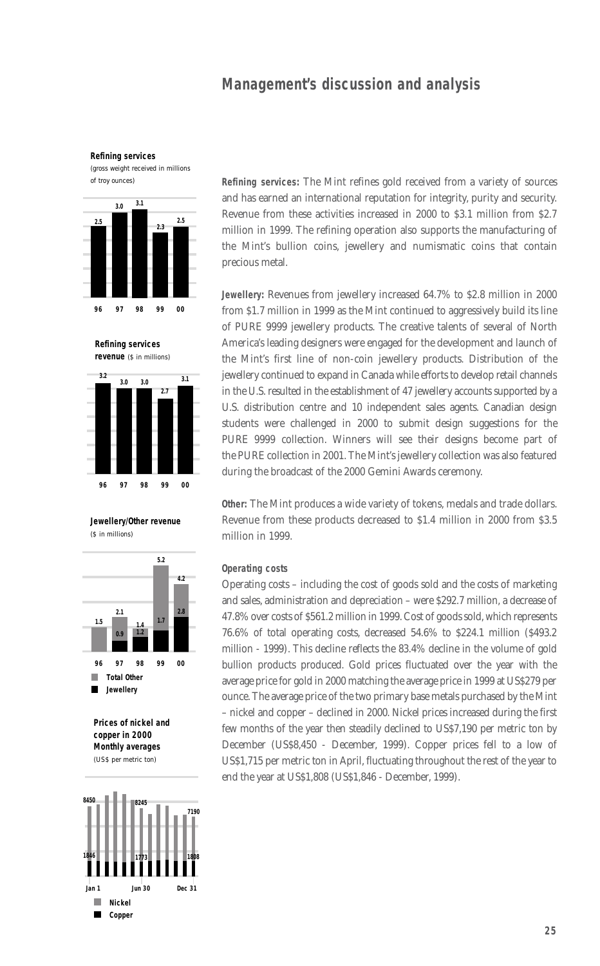**Refining services** 

(gross weight received in millions of troy ounces)



**Refining services revenue** (\$ in millions)



**Jewellery/Other revenue**  (\$ in millions)







**Refining services:** The Mint refines gold received from a variety of sources and has earned an international reputation for integrity, purity and security. Revenue from these activities increased in 2000 to \$3.1 million from \$2.7 million in 1999. The refining operation also supports the manufacturing of the Mint's bullion coins, jewellery and numismatic coins that contain precious metal.

**Jewellery:** Revenues from jewellery increased 64.7% to \$2.8 million in 2000 from \$1.7 million in 1999 as the Mint continued to aggressively build its line of PURE 9999 jewellery products. The creative talents of several of North America's leading designers were engaged for the development and launch of the Mint's first line of non-coin jewellery products. Distribution of the jewellery continued to expand in Canada while efforts to develop retail channels in the U.S. resulted in the establishment of 47 jewellery accounts supported by a U.S. distribution centre and 10 independent sales agents. Canadian design students were challenged in 2000 to submit design suggestions for the PURE 9999 collection. Winners will see their designs become part of the PURE collection in 2001. The Mint's jewellery collection was also featured during the broadcast of the 2000 Gemini Awards ceremony.

**Other:** The Mint produces a wide variety of tokens, medals and trade dollars. Revenue from these products decreased to \$1.4 million in 2000 from \$3.5 million in 1999.

#### **Operating costs**

Operating costs – including the cost of goods sold and the costs of marketing and sales, administration and depreciation – were \$292.7 million, a decrease of 47.8% over costs of \$561.2 million in 1999. Cost of goods sold, which represents 76.6% of total operating costs, decreased 54.6% to \$224.1 million (\$493.2 million - 1999). This decline reflects the 83.4% decline in the volume of gold bullion products produced. Gold prices fluctuated over the year with the average price for gold in 2000 matching the average price in 1999 at US\$279 per ounce. The average price of the two primary base metals purchased by the Mint – nickel and copper – declined in 2000. Nickel prices increased during the first few months of the year then steadily declined to US\$7,190 per metric ton by December (US\$8,450 - December, 1999). Copper prices fell to a low of US\$1,715 per metric ton in April, fluctuating throughout the rest of the year to end the year at US\$1,808 (US\$1,846 - December, 1999).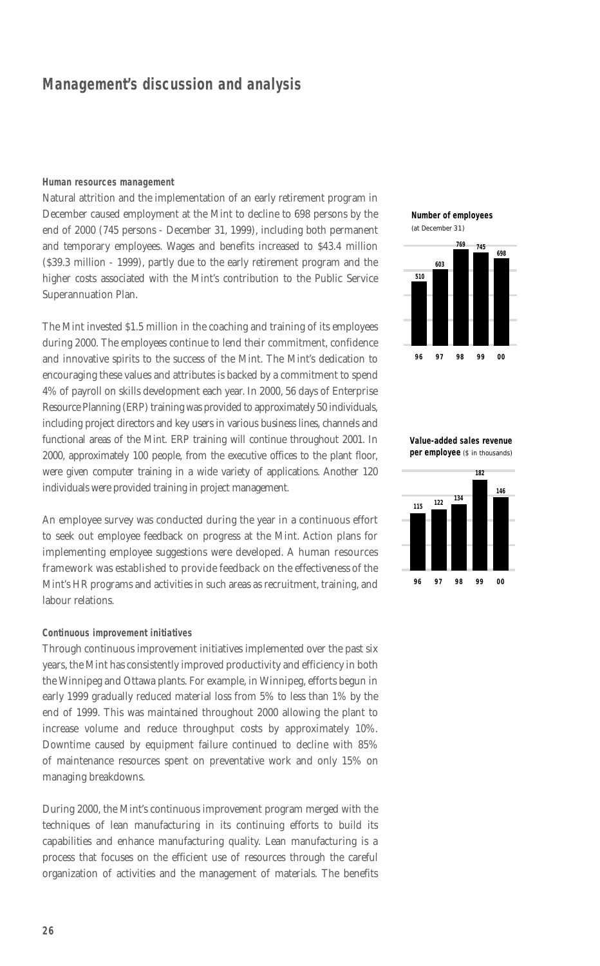#### **Human resources management**

Natural attrition and the implementation of an early retirement program in December caused employment at the Mint to decline to 698 persons by the end of 2000 (745 persons - December 31, 1999), including both permanent and temporary employees. Wages and benefits increased to \$43.4 million (\$39.3 million - 1999), partly due to the early retirement program and the higher costs associated with the Mint's contribution to the Public Service Superannuation Plan.

The Mint invested \$1.5 million in the coaching and training of its employees during 2000. The employees continue to lend their commitment, confidence and innovative spirits to the success of the Mint. The Mint's dedication to encouraging these values and attributes is backed by a commitment to spend 4% of payroll on skills development each year. In 2000, 56 days of Enterprise Resource Planning (ERP) training was provided to approximately 50 individuals, including project directors and key users in various business lines, channels and functional areas of the Mint. ERP training will continue throughout 2001. In 2000, approximately 100 people, from the executive offices to the plant floor, were given computer training in a wide variety of applications. Another 120 individuals were provided training in project management.

An employee survey was conducted during the year in a continuous effort to seek out employee feedback on progress at the Mint. Action plans for implementing employee suggestions were developed. A human resources framework was established to provide feedback on the effectiveness of the Mint's HR programs and activities in such areas as recruitment, training, and labour relations.

#### **Continuous improvement initiatives**

Through continuous improvement initiatives implemented over the past six years, the Mint has consistently improved productivity and efficiency in both the Winnipeg and Ottawa plants. For example, in Winnipeg, efforts begun in early 1999 gradually reduced material loss from 5% to less than 1% by the end of 1999. This was maintained throughout 2000 allowing the plant to increase volume and reduce throughput costs by approximately 10%. Downtime caused by equipment failure continued to decline with 85% of maintenance resources spent on preventative work and only 15% on managing breakdowns.

During 2000, the Mint's continuous improvement program merged with the techniques of lean manufacturing in its continuing efforts to build its capabilities and enhance manufacturing quality. Lean manufacturing is a process that focuses on the efficient use of resources through the careful organization of activities and the management of materials. The benefits **Number of employees**



**Value-added sales revenue per employee** (\$ in thousands)

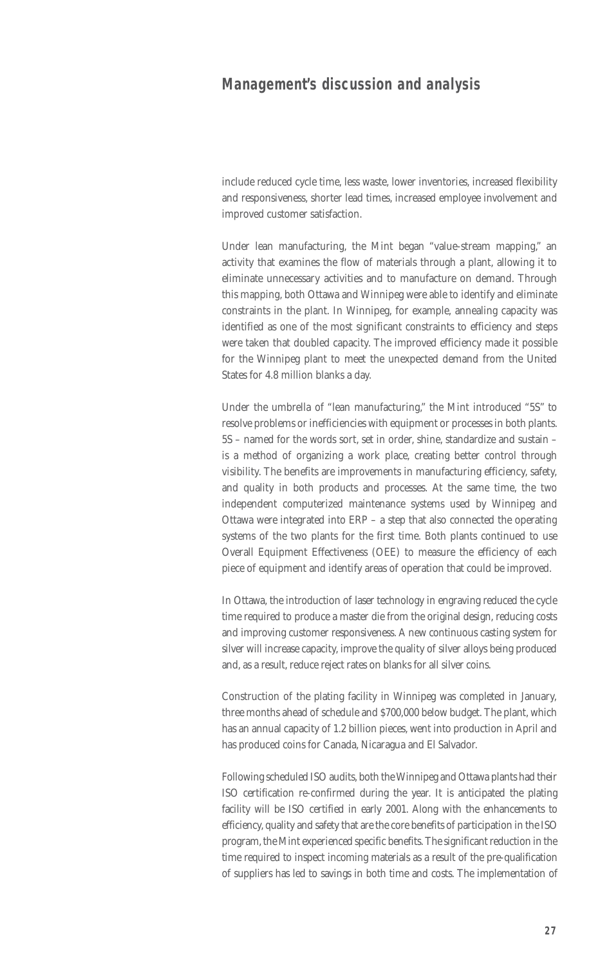include reduced cycle time, less waste, lower inventories, increased flexibility and responsiveness, shorter lead times, increased employee involvement and improved customer satisfaction.

Under lean manufacturing, the Mint began "value-stream mapping," an activity that examines the flow of materials through a plant, allowing it to eliminate unnecessary activities and to manufacture on demand. Through this mapping, both Ottawa and Winnipeg were able to identify and eliminate constraints in the plant. In Winnipeg, for example, annealing capacity was identified as one of the most significant constraints to efficiency and steps were taken that doubled capacity. The improved efficiency made it possible for the Winnipeg plant to meet the unexpected demand from the United States for 4.8 million blanks a day.

Under the umbrella of "lean manufacturing," the Mint introduced "5S" to resolve problems or inefficiencies with equipment or processes in both plants. 5S – named for the words sort, set in order, shine, standardize and sustain – is a method of organizing a work place, creating better control through visibility. The benefits are improvements in manufacturing efficiency, safety, and quality in both products and processes. At the same time, the two independent computerized maintenance systems used by Winnipeg and Ottawa were integrated into ERP – a step that also connected the operating systems of the two plants for the first time. Both plants continued to use Overall Equipment Effectiveness (OEE) to measure the efficiency of each piece of equipment and identify areas of operation that could be improved.

In Ottawa, the introduction of laser technology in engraving reduced the cycle time required to produce a master die from the original design, reducing costs and improving customer responsiveness. A new continuous casting system for silver will increase capacity, improve the quality of silver alloys being produced and, as a result, reduce reject rates on blanks for all silver coins.

Construction of the plating facility in Winnipeg was completed in January, three months ahead of schedule and \$700,000 below budget. The plant, which has an annual capacity of 1.2 billion pieces, went into production in April and has produced coins for Canada, Nicaragua and El Salvador.

Following scheduled ISO audits, both the Winnipeg and Ottawa plants had their ISO certification re-confirmed during the year. It is anticipated the plating facility will be ISO certified in early 2001. Along with the enhancements to efficiency, quality and safety that are the core benefits of participation in the ISO program, the Mint experienced specific benefits. The significant reduction in the time required to inspect incoming materials as a result of the pre-qualification of suppliers has led to savings in both time and costs. The implementation of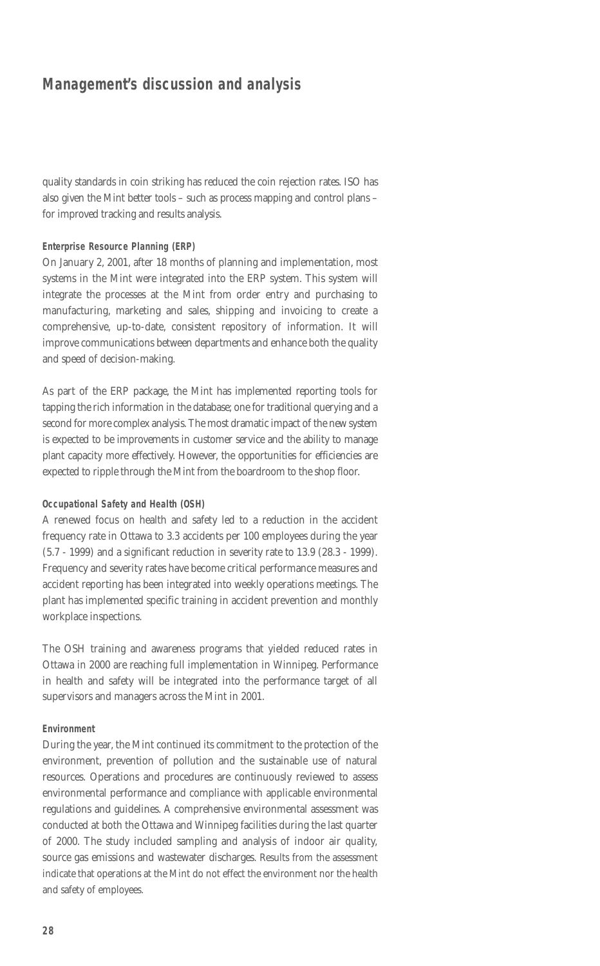quality standards in coin striking has reduced the coin rejection rates. ISO has also given the Mint better tools – such as process mapping and control plans – for improved tracking and results analysis.

#### **Enterprise Resource Planning (ERP)**

On January 2, 2001, after 18 months of planning and implementation, most systems in the Mint were integrated into the ERP system. This system will integrate the processes at the Mint from order entry and purchasing to manufacturing, marketing and sales, shipping and invoicing to create a comprehensive, up-to-date, consistent repository of information. It will improve communications between departments and enhance both the quality and speed of decision-making.

As part of the ERP package, the Mint has implemented reporting tools for tapping the rich information in the database; one for traditional querying and a second for more complex analysis. The most dramatic impact of the new system is expected to be improvements in customer service and the ability to manage plant capacity more effectively. However, the opportunities for efficiencies are expected to ripple through the Mint from the boardroom to the shop floor.

#### **Occupational Safety and Health (OSH)**

A renewed focus on health and safety led to a reduction in the accident frequency rate in Ottawa to 3.3 accidents per 100 employees during the year (5.7 - 1999) and a significant reduction in severity rate to 13.9 (28.3 - 1999). Frequency and severity rates have become critical performance measures and accident reporting has been integrated into weekly operations meetings. The plant has implemented specific training in accident prevention and monthly workplace inspections.

The OSH training and awareness programs that yielded reduced rates in Ottawa in 2000 are reaching full implementation in Winnipeg. Performance in health and safety will be integrated into the performance target of all supervisors and managers across the Mint in 2001.

#### **Environment**

During the year, the Mint continued its commitment to the protection of the environment, prevention of pollution and the sustainable use of natural resources. Operations and procedures are continuously reviewed to assess environmental performance and compliance with applicable environmental regulations and guidelines. A comprehensive environmental assessment was conducted at both the Ottawa and Winnipeg facilities during the last quarter of 2000. The study included sampling and analysis of indoor air quality, source gas emissions and wastewater discharges. Results from the assessment indicate that operations at the Mint do not effect the environment nor the health and safety of employees.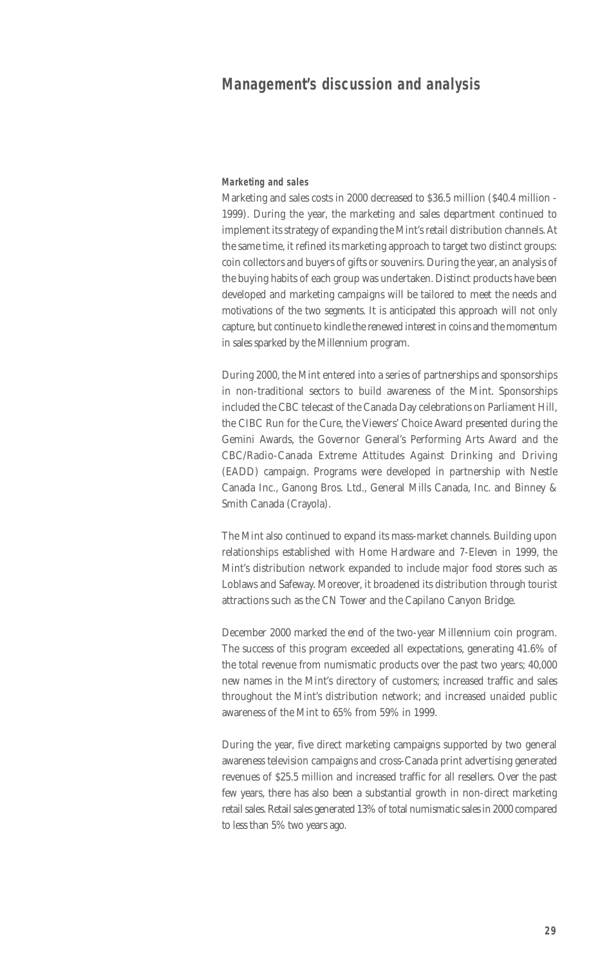**Marketing and sales** 

Marketing and sales costs in 2000 decreased to \$36.5 million (\$40.4 million - 1999). During the year, the marketing and sales department continued to implement its strategy of expanding the Mint's retail distribution channels. At the same time, it refined its marketing approach to target two distinct groups: coin collectors and buyers of gifts or souvenirs. During the year, an analysis of the buying habits of each group was undertaken. Distinct products have been developed and marketing campaigns will be tailored to meet the needs and motivations of the two segments. It is anticipated this approach will not only capture, but continue to kindle the renewed interest in coins and the momentum in sales sparked by the Millennium program.

During 2000, the Mint entered into a series of partnerships and sponsorships in non-traditional sectors to build awareness of the Mint. Sponsorships included the CBC telecast of the Canada Day celebrations on Parliament Hill, the CIBC Run for the Cure, the Viewers' Choice Award presented during the Gemini Awards, the Governor General's Performing Arts Award and the CBC/Radio-Canada Extreme Attitudes Against Drinking and Driving (EADD) campaign. Programs were developed in partnership with Nestle Canada Inc., Ganong Bros. Ltd., General Mills Canada, Inc. and Binney & Smith Canada (Crayola).

The Mint also continued to expand its mass-market channels. Building upon relationships established with Home Hardware and 7-Eleven in 1999, the Mint's distribution network expanded to include major food stores such as Loblaws and Safeway. Moreover, it broadened its distribution through tourist attractions such as the CN Tower and the Capilano Canyon Bridge.

December 2000 marked the end of the two-year Millennium coin program. The success of this program exceeded all expectations, generating 41.6% of the total revenue from numismatic products over the past two years; 40,000 new names in the Mint's directory of customers; increased traffic and sales throughout the Mint's distribution network; and increased unaided public awareness of the Mint to 65% from 59% in 1999.

During the year, five direct marketing campaigns supported by two general awareness television campaigns and cross-Canada print advertising generated revenues of \$25.5 million and increased traffic for all resellers. Over the past few years, there has also been a substantial growth in non-direct marketing retail sales. Retail sales generated 13% of total numismatic sales in 2000 compared to less than 5% two years ago.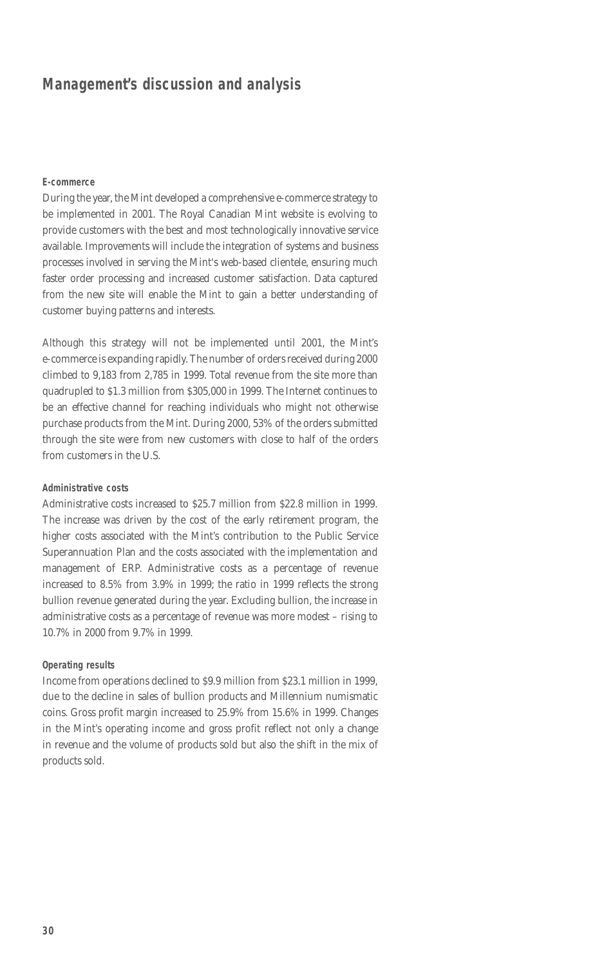#### **E-commerce**

During the year, the Mint developed a comprehensive e-commerce strategy to be implemented in 2001. The Royal Canadian Mint website is evolving to provide customers with the best and most technologically innovative service available. Improvements will include the integration of systems and business processes involved in serving the Mint's web-based clientele, ensuring much faster order processing and increased customer satisfaction. Data captured from the new site will enable the Mint to gain a better understanding of customer buying patterns and interests.

Although this strategy will not be implemented until 2001, the Mint's e-commerce is expanding rapidly. The number of orders received during 2000 climbed to 9,183 from 2,785 in 1999. Total revenue from the site more than quadrupled to \$1.3 million from \$305,000 in 1999. The Internet continues to be an effective channel for reaching individuals who might not otherwise purchase products from the Mint. During 2000, 53% of the orders submitted through the site were from new customers with close to half of the orders from customers in the U.S.

#### **Administrative costs**

Administrative costs increased to \$25.7 million from \$22.8 million in 1999. The increase was driven by the cost of the early retirement program, the higher costs associated with the Mint's contribution to the Public Service Superannuation Plan and the costs associated with the implementation and management of ERP. Administrative costs as a percentage of revenue increased to 8.5% from 3.9% in 1999; the ratio in 1999 reflects the strong bullion revenue generated during the year. Excluding bullion, the increase in administrative costs as a percentage of revenue was more modest – rising to 10.7% in 2000 from 9.7% in 1999.

#### **Operating results**

Income from operations declined to \$9.9 million from \$23.1 million in 1999, due to the decline in sales of bullion products and Millennium numismatic coins. Gross profit margin increased to 25.9% from 15.6% in 1999. Changes in the Mint's operating income and gross profit reflect not only a change in revenue and the volume of products sold but also the shift in the mix of products sold.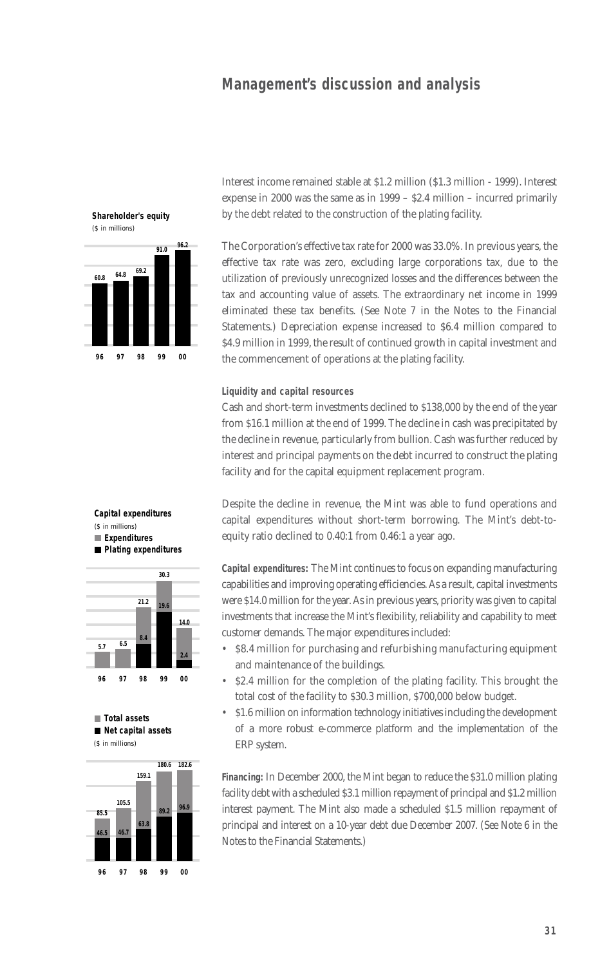

**Shareholder's equity**

Interest income remained stable at \$1.2 million (\$1.3 million - 1999). Interest expense in 2000 was the same as in 1999 – \$2.4 million – incurred primarily by the debt related to the construction of the plating facility.

The Corporation's effective tax rate for 2000 was 33.0%. In previous years, the effective tax rate was zero, excluding large corporations tax, due to the utilization of previously unrecognized losses and the differences between the tax and accounting value of assets. The extraordinary net income in 1999 eliminated these tax benefits. (See Note 7 in the Notes to the Financial Statements.) Depreciation expense increased to \$6.4 million compared to \$4.9 million in 1999, the result of continued growth in capital investment and the commencement of operations at the plating facility.

#### **Liquidity and capital resources**

Cash and short-term investments declined to \$138,000 by the end of the year from \$16.1 million at the end of 1999. The decline in cash was precipitated by the decline in revenue, particularly from bullion. Cash was further reduced by interest and principal payments on the debt incurred to construct the plating facility and for the capital equipment replacement program.

Despite the decline in revenue, the Mint was able to fund operations and capital expenditures without short-term borrowing. The Mint's debt-toequity ratio declined to 0.40:1 from 0.46:1 a year ago.

**Capital expenditures:** The Mint continues to focus on expanding manufacturing capabilities and improving operating efficiencies. As a result, capital investments were \$14.0 million for the year. As in previous years, priority was given to capital investments that increase the Mint's flexibility, reliability and capability to meet customer demands. The major expenditures included:

- \$8.4 million for purchasing and refurbishing manufacturing equipment and maintenance of the buildings.
- \$2.4 million for the completion of the plating facility. This brought the total cost of the facility to \$30.3 million, \$700,000 below budget.
- \$1.6 million on information technology initiatives including the development of a more robust e-commerce platform and the implementation of the ERP system.

**Financing:** In December 2000, the Mint began to reduce the \$31.0 million plating facility debt with a scheduled \$3.1 million repayment of principal and \$1.2 million interest payment. The Mint also made a scheduled \$1.5 million repayment of principal and interest on a 10-year debt due December 2007. (See Note 6 in the Notes to the Financial Statements.)

#### **Capital expenditures** (\$ in millions)  **Expenditures Plating expenditures**



 **Total assets Net capital assets** (\$ in millions)

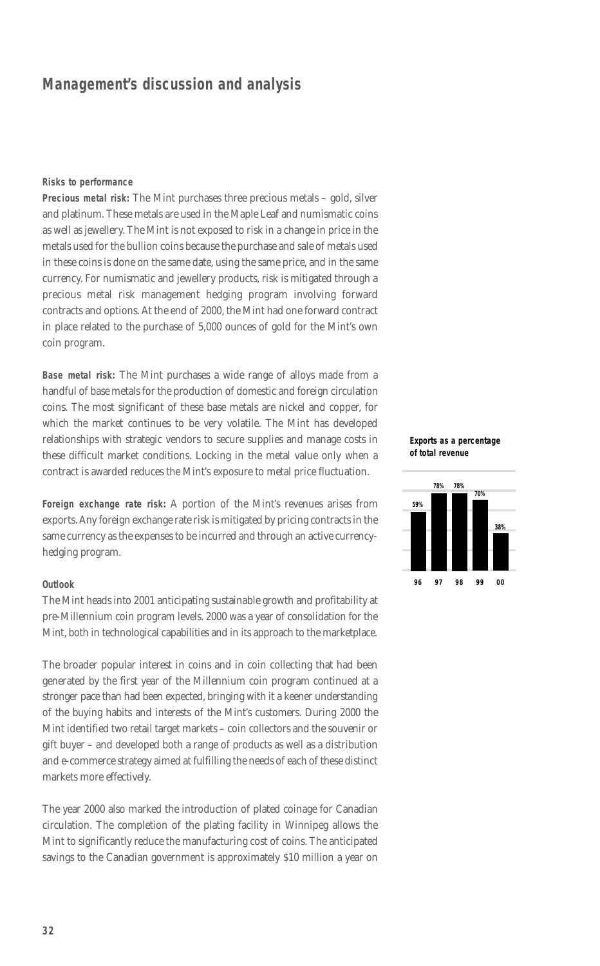#### **Risks to performance**

**Precious metal risk:** The Mint purchases three precious metals – gold, silver and platinum. These metals are used in the Maple Leaf and numismatic coins as well as jewellery. The Mint is not exposed to risk in a change in price in the metals used for the bullion coins because the purchase and sale of metals used in these coins is done on the same date, using the same price, and in the same currency. For numismatic and jewellery products, risk is mitigated through a precious metal risk management hedging program involving forward contracts and options. At the end of 2000, the Mint had one forward contract in place related to the purchase of 5,000 ounces of gold for the Mint's own coin program.

**Base metal risk:** The Mint purchases a wide range of alloys made from a handful of base metals for the production of domestic and foreign circulation coins. The most significant of these base metals are nickel and copper, for which the market continues to be very volatile. The Mint has developed relationships with strategic vendors to secure supplies and manage costs in these difficult market conditions. Locking in the metal value only when a contract is awarded reduces the Mint's exposure to metal price fluctuation.

**Foreign exchange rate risk:** A portion of the Mint's revenues arises from exports. Any foreign exchange rate risk is mitigated by pricing contracts in the same currency as the expenses to be incurred and through an active currencyhedging program.

#### **Outlook**

The Mint heads into 2001 anticipating sustainable growth and profitability at pre-Millennium coin program levels. 2000 was a year of consolidation for the Mint, both in technological capabilities and in its approach to the marketplace.

The broader popular interest in coins and in coin collecting that had been generated by the first year of the Millennium coin program continued at a stronger pace than had been expected, bringing with it a keener understanding of the buying habits and interests of the Mint's customers. During 2000 the Mint identified two retail target markets – coin collectors and the souvenir or gift buyer – and developed both a range of products as well as a distribution and e-commerce strategy aimed at fulfilling the needs of each of these distinct markets more effectively.

The year 2000 also marked the introduction of plated coinage for Canadian circulation. The completion of the plating facility in Winnipeg allows the Mint to significantly reduce the manufacturing cost of coins. The anticipated savings to the Canadian government is approximately \$10 million a year on

#### **Exports as a percentage of total revenue**